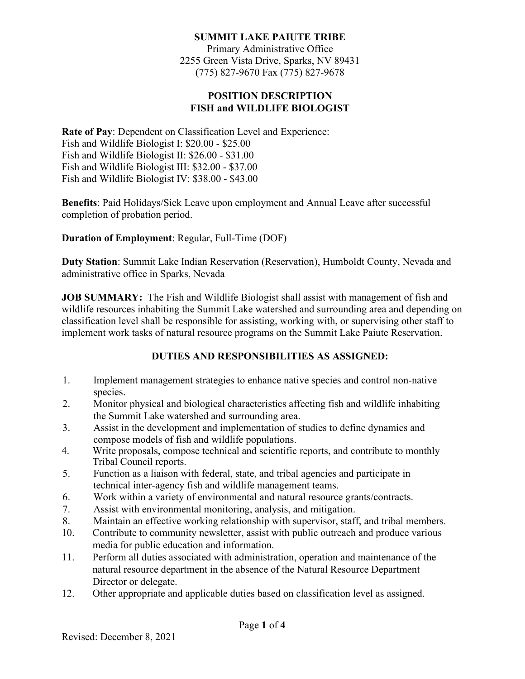## **SUMMIT LAKE PAIUTE TRIBE**

Primary Administrative Office 2255 Green Vista Drive, Sparks, NV 89431 (775) 827-9670 Fax (775) 827-9678

### **POSITION DESCRIPTION FISH and WILDLIFE BIOLOGIST**

**Rate of Pay**: Dependent on Classification Level and Experience: Fish and Wildlife Biologist I: \$20.00 - \$25.00 Fish and Wildlife Biologist II: \$26.00 - \$31.00 Fish and Wildlife Biologist III: \$32.00 - \$37.00 Fish and Wildlife Biologist IV: \$38.00 - \$43.00

**Benefits**: Paid Holidays/Sick Leave upon employment and Annual Leave after successful completion of probation period.

**Duration of Employment**: Regular, Full-Time (DOF)

**Duty Station**: Summit Lake Indian Reservation (Reservation), Humboldt County, Nevada and administrative office in Sparks, Nevada

**JOB SUMMARY:** The Fish and Wildlife Biologist shall assist with management of fish and wildlife resources inhabiting the Summit Lake watershed and surrounding area and depending on classification level shall be responsible for assisting, working with, or supervising other staff to implement work tasks of natural resource programs on the Summit Lake Paiute Reservation.

# **DUTIES AND RESPONSIBILITIES AS ASSIGNED:**

- 1. Implement management strategies to enhance native species and control non-native species.
- 2. Monitor physical and biological characteristics affecting fish and wildlife inhabiting the Summit Lake watershed and surrounding area.
- 3. Assist in the development and implementation of studies to define dynamics and compose models of fish and wildlife populations.
- 4. Write proposals, compose technical and scientific reports, and contribute to monthly Tribal Council reports.
- 5. Function as a liaison with federal, state, and tribal agencies and participate in technical inter-agency fish and wildlife management teams.
- 6. Work within a variety of environmental and natural resource grants/contracts.
- 7. Assist with environmental monitoring, analysis, and mitigation.
- 8. Maintain an effective working relationship with supervisor, staff, and tribal members.
- 10. Contribute to community newsletter, assist with public outreach and produce various media for public education and information.
- 11. Perform all duties associated with administration, operation and maintenance of the natural resource department in the absence of the Natural Resource Department Director or delegate.
- 12. Other appropriate and applicable duties based on classification level as assigned.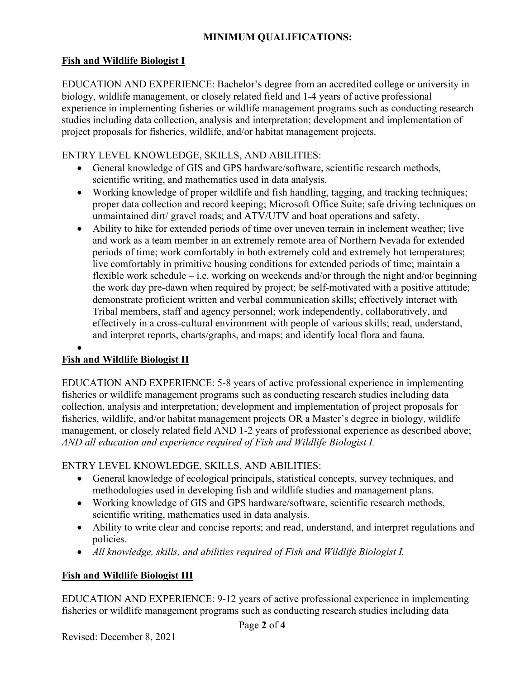# **MINIMUM QUALIFICATIONS:**

## **Fish and Wildlife Biologist I**

EDUCATION AND EXPERIENCE: Bachelor's degree from an accredited college or university in biology, wildlife management, or closely related field and 1-4 years of active professional experience in implementing fisheries or wildlife management programs such as conducting research studies including data collection, analysis and interpretation; development and implementation of project proposals for fisheries, wildlife, and/or habitat management projects.

## ENTRY LEVEL KNOWLEDGE, SKILLS, AND ABILITIES:

- General knowledge of GIS and GPS hardware/software, scientific research methods, scientific writing, and mathematics used in data analysis.
- Working knowledge of proper wildlife and fish handling, tagging, and tracking techniques; proper data collection and record keeping; Microsoft Office Suite; safe driving techniques on unmaintained dirt/ gravel roads; and ATV/UTV and boat operations and safety.
- Ability to hike for extended periods of time over uneven terrain in inclement weather; live and work as a team member in an extremely remote area of Northern Nevada for extended periods of time; work comfortably in both extremely cold and extremely hot temperatures; live comfortably in primitive housing conditions for extended periods of time; maintain a flexible work schedule – i.e. working on weekends and/or through the night and/or beginning the work day pre-dawn when required by project; be self-motivated with a positive attitude; demonstrate proficient written and verbal communication skills; effectively interact with Tribal members, staff and agency personnel; work independently, collaboratively, and effectively in a cross-cultural environment with people of various skills; read, understand, and interpret reports, charts/graphs, and maps; and identify local flora and fauna.

#### • **Fish and Wildlife Biologist II**

EDUCATION AND EXPERIENCE: 5-8 years of active professional experience in implementing fisheries or wildlife management programs such as conducting research studies including data collection, analysis and interpretation; development and implementation of project proposals for fisheries, wildlife, and/or habitat management projects OR a Master's degree in biology, wildlife management, or closely related field AND 1-2 years of professional experience as described above; *AND all education and experience required of Fish and Wildlife Biologist I.* 

ENTRY LEVEL KNOWLEDGE, SKILLS, AND ABILITIES:

- General knowledge of ecological principals, statistical concepts, survey techniques, and methodologies used in developing fish and wildlife studies and management plans.
- Working knowledge of GIS and GPS hardware/software, scientific research methods, scientific writing, mathematics used in data analysis.
- Ability to write clear and concise reports; and read, understand, and interpret regulations and policies.
- *All knowledge, skills, and abilities required of Fish and Wildlife Biologist I.*

# **Fish and Wildlife Biologist III**

EDUCATION AND EXPERIENCE: 9-12 years of active professional experience in implementing fisheries or wildlife management programs such as conducting research studies including data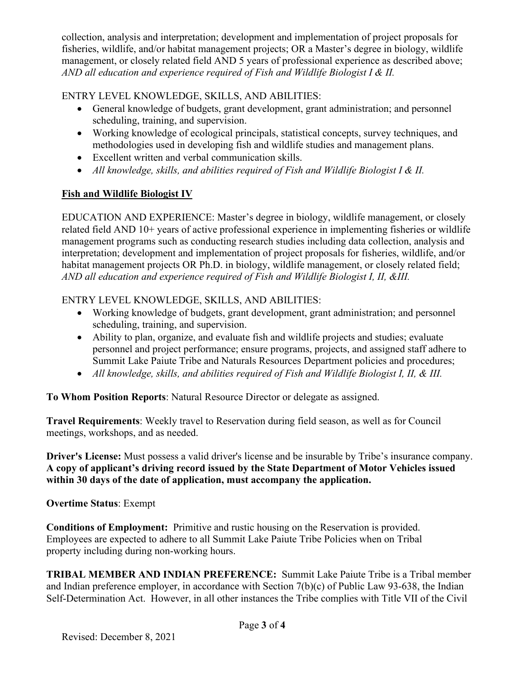collection, analysis and interpretation; development and implementation of project proposals for fisheries, wildlife, and/or habitat management projects; OR a Master's degree in biology, wildlife management, or closely related field AND 5 years of professional experience as described above; *AND all education and experience required of Fish and Wildlife Biologist I & II.*

# ENTRY LEVEL KNOWLEDGE, SKILLS, AND ABILITIES:

- General knowledge of budgets, grant development, grant administration; and personnel scheduling, training, and supervision.
- Working knowledge of ecological principals, statistical concepts, survey techniques, and methodologies used in developing fish and wildlife studies and management plans.
- Excellent written and verbal communication skills.
- *All knowledge, skills, and abilities required of Fish and Wildlife Biologist I & II.*

# **Fish and Wildlife Biologist IV**

EDUCATION AND EXPERIENCE: Master's degree in biology, wildlife management, or closely related field AND 10+ years of active professional experience in implementing fisheries or wildlife management programs such as conducting research studies including data collection, analysis and interpretation; development and implementation of project proposals for fisheries, wildlife, and/or habitat management projects OR Ph.D. in biology, wildlife management, or closely related field; *AND all education and experience required of Fish and Wildlife Biologist I, II, &III.*

# ENTRY LEVEL KNOWLEDGE, SKILLS, AND ABILITIES:

- Working knowledge of budgets, grant development, grant administration; and personnel scheduling, training, and supervision.
- Ability to plan, organize, and evaluate fish and wildlife projects and studies; evaluate personnel and project performance; ensure programs, projects, and assigned staff adhere to Summit Lake Paiute Tribe and Naturals Resources Department policies and procedures;
- *All knowledge, skills, and abilities required of Fish and Wildlife Biologist I, II, & III.*

**To Whom Position Reports**: Natural Resource Director or delegate as assigned.

**Travel Requirements**: Weekly travel to Reservation during field season, as well as for Council meetings, workshops, and as needed.

**Driver's License:** Must possess a valid driver's license and be insurable by Tribe's insurance company. **A copy of applicant's driving record issued by the State Department of Motor Vehicles issued within 30 days of the date of application, must accompany the application.**

# **Overtime Status**: Exempt

**Conditions of Employment:** Primitive and rustic housing on the Reservation is provided. Employees are expected to adhere to all Summit Lake Paiute Tribe Policies when on Tribal property including during non-working hours.

**TRIBAL MEMBER AND INDIAN PREFERENCE:** Summit Lake Paiute Tribe is a Tribal member and Indian preference employer, in accordance with Section 7(b)(c) of Public Law 93-638, the Indian Self-Determination Act. However, in all other instances the Tribe complies with Title VII of the Civil